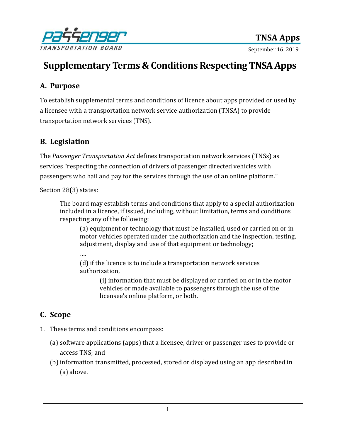

# **Supplementary Terms & Conditions Respecting TNSA Apps**

# **A. Purpose**

To establish supplemental terms and conditions of licence about apps provided or used by a licensee with a transportation network service authorization (TNSA) to provide transportation network services (TNS).

## **B. Legislation**

The *Passenger Transportation Act* defines transportation network services (TNSs) as services "respecting the connection of drivers of passenger directed vehicles with passengers who hail and pay for the services through the use of an online platform."

Section 28(3) states:

The board may establish terms and conditions that apply to a special authorization included in a licence, if issued, including, without limitation, terms and conditions respecting any of the following:

(a) equipment or technology that must be installed, used or carried on or in motor vehicles operated under the authorization and the inspection, testing, adjustment, display and use of that equipment or technology;

….

(d) if the licence is to include a transportation network services authorization,

> (i) information that must be displayed or carried on or in the motor vehicles or made available to passengers through the use of the licensee's online platform, or both.

## **C. Scope**

- 1. These terms and conditions encompass:
	- (a) software applications (apps) that a licensee, driver or passenger uses to provide or access TNS; and
	- (b)information transmitted, processed, stored or displayed using an app described in (a) above.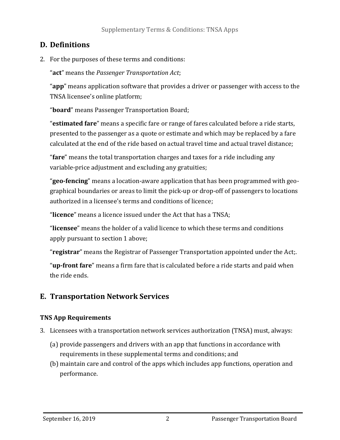# **D. Definitions**

2. For the purposes of these terms and conditions:

"**act**" means the *Passenger Transportation Act*;

"**app**" means application software that provides a driver or passenger with access to the TNSA licensee's online platform;

"**board**" means Passenger Transportation Board;

"**estimated fare**" means a specific fare or range of fares calculated before a ride starts, presented to the passenger as a quote or estimate and which may be replaced by a fare calculated at the end of the ride based on actual travel time and actual travel distance;

"**fare**" means the total transportation charges and taxes for a ride including any variable-price adjustment and excluding any gratuities;

"**geo-fencing**" means a location-aware application that has been programmed with geographical boundaries or areas to limit the pick-up or drop-off of passengers to locations authorized in a licensee's terms and conditions of licence;

"**licence**" means a licence issued under the Act that has a TNSA;

"**licensee**" means the holder of a valid licence to which these terms and conditions apply pursuant to section 1 above;

"**registrar**" means the Registrar of Passenger Transportation appointed under the Act;.

"**up-front fare**" means a firm fare that is calculated before a ride starts and paid when the ride ends.

# **E. Transportation Network Services**

## **TNS App Requirements**

- 3. Licensees with a transportation network services authorization (TNSA) must, always:
	- (a) provide passengers and drivers with an app that functions in accordance with requirements in these supplemental terms and conditions; and
	- (b) maintain care and control of the apps which includes app functions, operation and performance.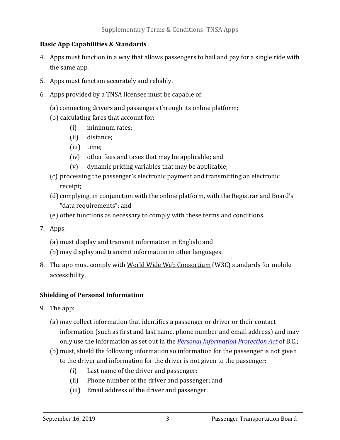#### **Basic App Capabilities & Standards**

- 4. Apps must function in a way that allows passengers to hail and pay for a single ride with the same app.
- 5. Apps must function accurately and reliably.
- 6. Apps provided by a TNSA licensee must be capable of:
	- (a) connecting drivers and passengers through its online platform;
	- (b) calculating fares that account for:
		- (i) minimum rates;
		- (ii) distance;
		- (iii) time;
		- (iv) other fees and taxes that may be applicable; and
		- (v) dynamic pricing variables that may be applicable;
	- (c) processing the passenger's electronic payment and transmitting an electronic receipt;
	- (d) complying, in conjunction with the online platform, with the Registrar and Board's "data requirements"; and
	- (e) other functions as necessary to comply with these terms and conditions.
- 7. Apps:
	- (a) must display and transmit information in English; and
	- (b) may display and transmit information in other languages.
- 8. The app must comply wit[h World Wide Web Consortium](https://www.w3.org/) (W3C) standards for mobile accessibility.

## **Shielding of Personal Information**

- 9. The app:
	- (a) may collect information that identifies a passenger or driver or their contact information (such as first and last name, phone number and email address) and may only use the information as set out in the *[Personal Information Protection Act](Personal%20Information%20Protection%20Act)* of B.C.;
	- (b) must, shield the following information so information for the passenger is not given to the driver and information for the driver is not given to the passenger:
		- (i) Last name of the driver and passenger;
		- (ii) Phone number of the driver and passenger; and
		- (iii) Email address of the driver and passenger.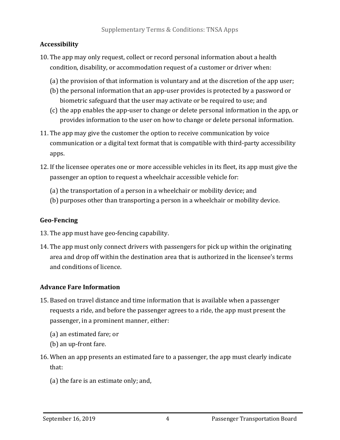## **Accessibility**

- 10. The app may only request, collect or record personal information about a health condition, disability, or accommodation request of a customer or driver when:
	- (a) the provision of that information is voluntary and at the discretion of the app user;
	- (b) the personal information that an app-user provides is protected by a password or biometric safeguard that the user may activate or be required to use; and
	- (c) the app enables the app-user to change or delete personal information in the app, or provides information to the user on how to change or delete personal information.
- 11. The app may give the customer the option to receive communication by voice communication or a digital text format that is compatible with third-party accessibility apps.
- 12. If the licensee operates one or more accessible vehicles in its fleet, its app must give the passenger an option to request a wheelchair accessible vehicle for:
	- (a) the transportation of a person in a wheelchair or mobility device; and
	- (b) purposes other than transporting a person in a wheelchair or mobility device.

## **Geo-Fencing**

- 13. The app must have geo-fencing capability.
- 14. The app must only connect drivers with passengers for pick up within the originating area and drop off within the destination area that is authorized in the licensee's terms and conditions of licence.

## **Advance Fare Information**

- 15. Based on travel distance and time information that is available when a passenger requests a ride, and before the passenger agrees to a ride, the app must present the passenger, in a prominent manner, either:
	- (a) an estimated fare; or
	- (b) an up-front fare.
- 16. When an app presents an estimated fare to a passenger, the app must clearly indicate that:
	- (a) the fare is an estimate only; and,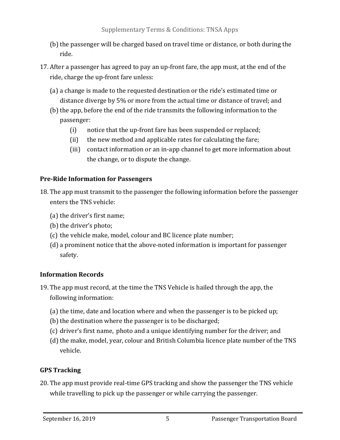- (b) the passenger will be charged based on travel time or distance, or both during the ride.
- 17. After a passenger has agreed to pay an up-front fare, the app must, at the end of the ride, charge the up-front fare unless:
	- (a) a change is made to the requested destination or the ride's estimated time or distance diverge by 5% or more from the actual time or distance of travel; and
	- (b) the app, before the end of the ride transmits the following information to the passenger:
		- (i) notice that the up-front fare has been suspended or replaced;
		- (ii) the new method and applicable rates for calculating the fare;
		- (iii) contact information or an in-app channel to get more information about the change, or to dispute the change.

#### **Pre-Ride Information for Passengers**

- 18. The app must transmit to the passenger the following information before the passenger enters the TNS vehicle:
	- (a) the driver's first name;
	- (b) the driver's photo;
	- (c) the vehicle make, model, colour and BC licence plate number;
	- (d) a prominent notice that the above-noted information is important for passenger safety.

## **Information Records**

- 19. The app must record, at the time the TNS Vehicle is hailed through the app, the following information:
	- (a) the time, date and location where and when the passenger is to be picked up;
	- (b) the destination where the passenger is to be discharged;
	- (c) driver's first name, photo and a unique identifying number for the driver; and
	- (d) the make, model, year, colour and British Columbia licence plate number of the TNS vehicle.

## **GPS Tracking**

20. The app must provide real-time GPS tracking and show the passenger the TNS vehicle while travelling to pick up the passenger or while carrying the passenger.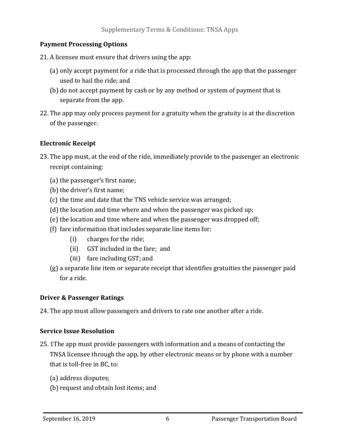#### **Payment Processing Options**

21. A licensee must ensure that drivers using the app:

- (a) only accept payment for a ride that is processed through the app that the passenger used to hail the ride; and
- (b) do not accept payment by cash or by any method or system of payment that is separate from the app.
- 22. The app may only process payment for a gratuity when the gratuity is at the discretion of the passenger.

#### **Electronic Receipt**

- 23. The app must, at the end of the ride, immediately provide to the passenger an electronic receipt containing:
	- (a) the passenger's first name;
	- (b) the driver's first name;
	- (c) the time and date that the TNS vehicle service was arranged;
	- $(d)$  the location and time where and when the passenger was picked up;
	- (e) the location and time where and when the passenger was dropped off;
	- (f) fare information that includes separate line items for:
		- (i) charges for the ride;
		- (ii) GST included in the fare; and
		- (iii) fare including GST; and
	- (g) a separate line item or separate receipt that identifies gratuities the passenger paid for a ride.

## **Driver & Passenger Ratings**

24. The app must allow passengers and drivers to rate one another after a ride.

## **Service Issue Resolution**

- 25. 1The app must provide passengers with information and a means of contacting the TNSA licensee through the app, by other electronic means or by phone with a number that is toll-free in BC, to:
	- (a) address disputes;
	- (b) request and obtain lost items; and